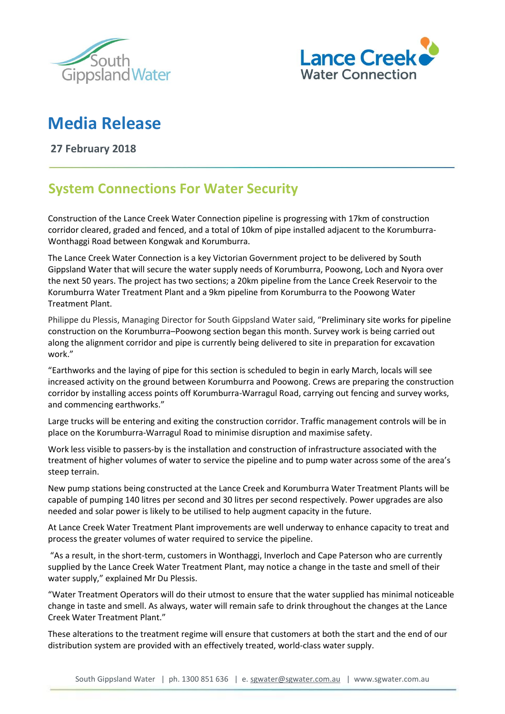



## **Media Release**

**27 February 2018**

## **System Connections For Water Security**

Construction of the Lance Creek Water Connection pipeline is progressing with 17km of construction corridor cleared, graded and fenced, and a total of 10km of pipe installed adjacent to the Korumburra-Wonthaggi Road between Kongwak and Korumburra.

The Lance Creek Water Connection is a key Victorian Government project to be delivered by South Gippsland Water that will secure the water supply needs of Korumburra, Poowong, Loch and Nyora over the next 50 years. The project has two sections; a 20km pipeline from the Lance Creek Reservoir to the Korumburra Water Treatment Plant and a 9km pipeline from Korumburra to the Poowong Water Treatment Plant.

Philippe du Plessis, Managing Director for South Gippsland Water said, "Preliminary site works for pipeline construction on the Korumburra–Poowong section began this month. Survey work is being carried out along the alignment corridor and pipe is currently being delivered to site in preparation for excavation work."

"Earthworks and the laying of pipe for this section is scheduled to begin in early March, locals will see increased activity on the ground between Korumburra and Poowong. Crews are preparing the construction corridor by installing access points off Korumburra-Warragul Road, carrying out fencing and survey works, and commencing earthworks."

Large trucks will be entering and exiting the construction corridor. Traffic management controls will be in place on the Korumburra-Warragul Road to minimise disruption and maximise safety.

Work less visible to passers-by is the installation and construction of infrastructure associated with the treatment of higher volumes of water to service the pipeline and to pump water across some of the area's steep terrain.

New pump stations being constructed at the Lance Creek and Korumburra Water Treatment Plants will be capable of pumping 140 litres per second and 30 litres per second respectively. Power upgrades are also needed and solar power is likely to be utilised to help augment capacity in the future.

At Lance Creek Water Treatment Plant improvements are well underway to enhance capacity to treat and process the greater volumes of water required to service the pipeline.

"As a result, in the short-term, customers in Wonthaggi, Inverloch and Cape Paterson who are currently supplied by the Lance Creek Water Treatment Plant, may notice a change in the taste and smell of their water supply," explained Mr Du Plessis.

"Water Treatment Operators will do their utmost to ensure that the water supplied has minimal noticeable change in taste and smell. As always, water will remain safe to drink throughout the changes at the Lance Creek Water Treatment Plant."

These alterations to the treatment regime will ensure that customers at both the start and the end of our distribution system are provided with an effectively treated, world-class water supply.